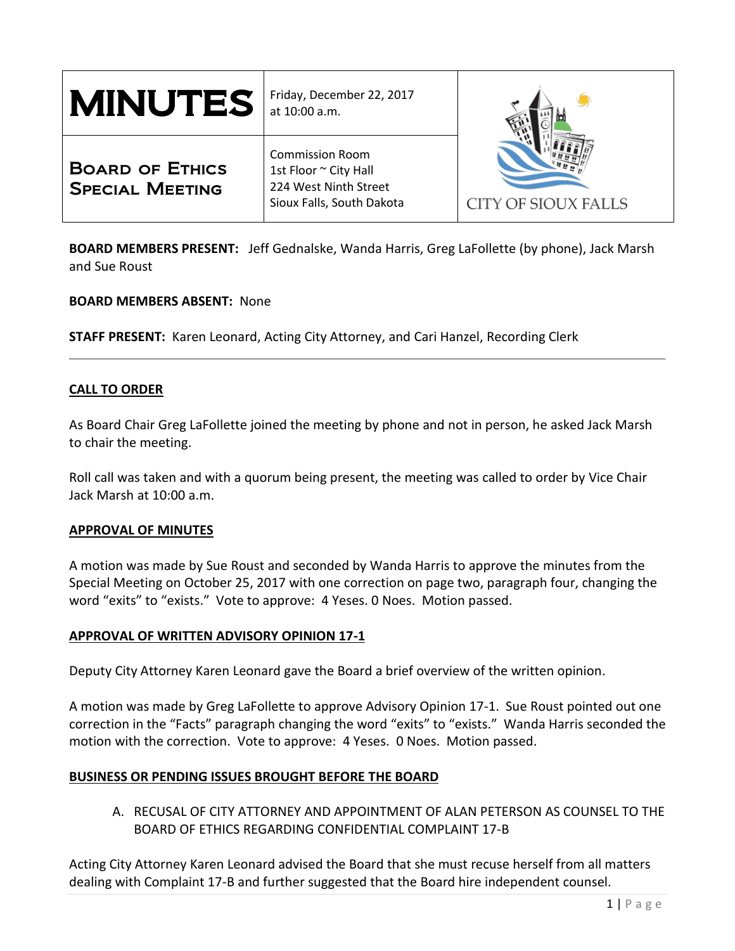| <b>MINUTES</b>                                   | Friday, December 22, 2017<br>at 10:00 a.m.                                                            |                     |
|--------------------------------------------------|-------------------------------------------------------------------------------------------------------|---------------------|
| <b>BOARD OF ETHICS</b><br><b>SPECIAL MEETING</b> | <b>Commission Room</b><br>1st Floor ~ City Hall<br>224 West Ninth Street<br>Sioux Falls, South Dakota | CITY OF SIOUX FALLS |

**BOARD MEMBERS PRESENT:** Jeff Gednalske, Wanda Harris, Greg LaFollette (by phone), Jack Marsh and Sue Roust

**BOARD MEMBERS ABSENT:** None

**STAFF PRESENT:** Karen Leonard, Acting City Attorney, and Cari Hanzel, Recording Clerk

## **CALL TO ORDER**

As Board Chair Greg LaFollette joined the meeting by phone and not in person, he asked Jack Marsh to chair the meeting.

Roll call was taken and with a quorum being present, the meeting was called to order by Vice Chair Jack Marsh at 10:00 a.m.

### **APPROVAL OF MINUTES**

A motion was made by Sue Roust and seconded by Wanda Harris to approve the minutes from the Special Meeting on October 25, 2017 with one correction on page two, paragraph four, changing the word "exits" to "exists." Vote to approve: 4 Yeses. 0 Noes. Motion passed.

### **APPROVAL OF WRITTEN ADVISORY OPINION 17-1**

Deputy City Attorney Karen Leonard gave the Board a brief overview of the written opinion.

A motion was made by Greg LaFollette to approve Advisory Opinion 17-1. Sue Roust pointed out one correction in the "Facts" paragraph changing the word "exits" to "exists." Wanda Harris seconded the motion with the correction. Vote to approve: 4 Yeses. 0 Noes. Motion passed.

## **BUSINESS OR PENDING ISSUES BROUGHT BEFORE THE BOARD**

A. RECUSAL OF CITY ATTORNEY AND APPOINTMENT OF ALAN PETERSON AS COUNSEL TO THE BOARD OF ETHICS REGARDING CONFIDENTIAL COMPLAINT 17-B

Acting City Attorney Karen Leonard advised the Board that she must recuse herself from all matters dealing with Complaint 17-B and further suggested that the Board hire independent counsel.